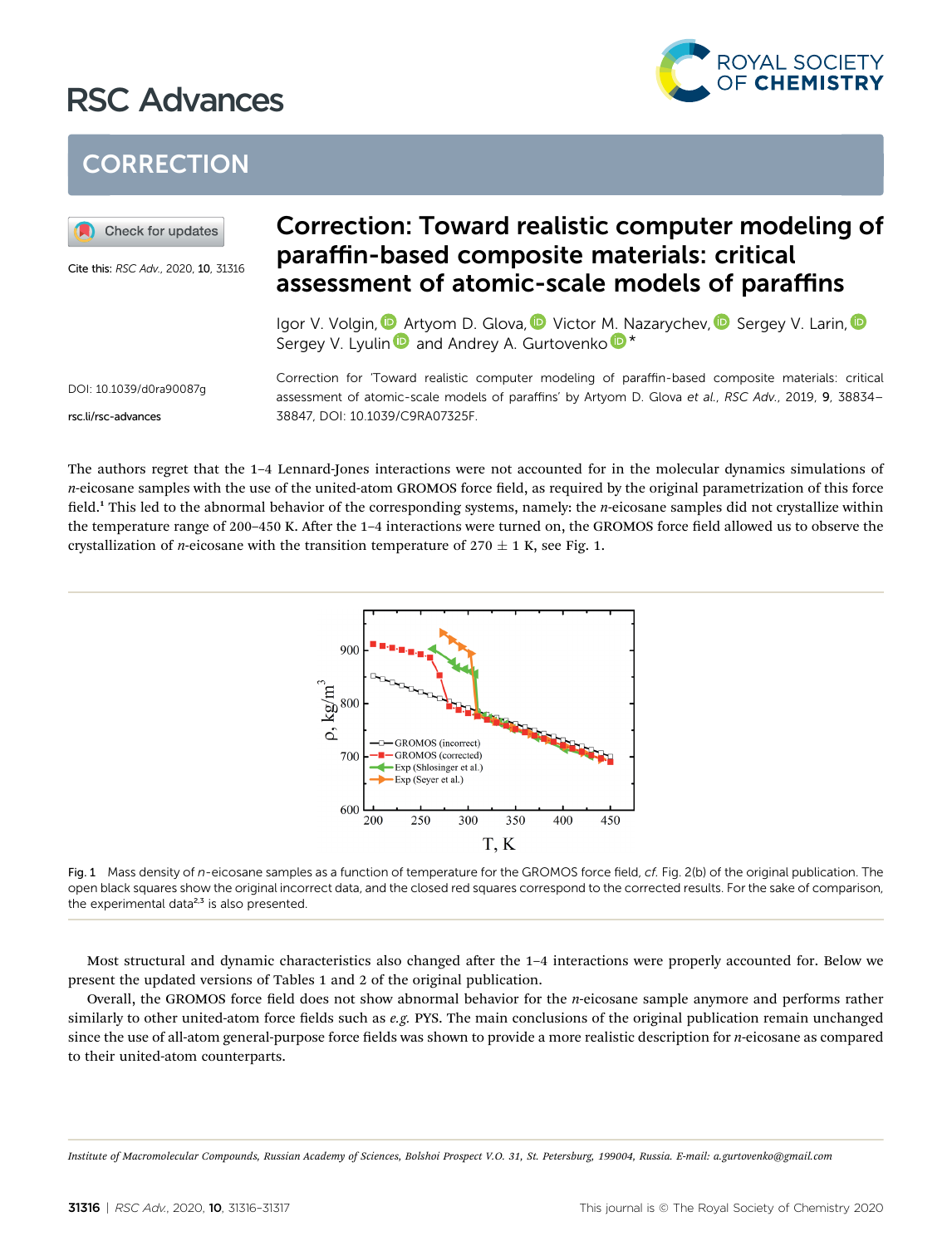## RSC Advances



## **CORRECTION**



Cite this: RSC Adv., 2020, 10, 31316

## Correction: Toward realistic computer modeling of paraffin-based composite materials: critical assessment of atomic-scale models of paraffins

Igor V. Volgin[,](http://orcid.org/0000-0002-1570-9333) **D** Artyom D. Glova, D Victor M. Nazarychev, D Sergey V. Larin, D Sergey V. Lyuli[n](http://orcid.org/0000-0002-3743-4457) and Andrey A. Gurt[o](http://orcid.org/0000-0002-9834-1617)venko  $\mathbb{D}^*$ 

DOI: 10.1039/d0ra90087g

rsc.li/rsc-advances

Correction for 'Toward realistic computer modeling of paraffin-based composite materials: critical assessment of atomic-scale models of paraffins' by Artyom D. Glova et al., RSC Adv., 2019, 9, 38834-38847, DOI: 10.1039/C9RA07325F.

The authors regret that the 1–4 Lennard-Jones interactions were not accounted for in the molecular dynamics simulations of  $n$ -eicosane samples with the use of the united-atom GROMOS force field, as required by the original parametrization of this force field.<sup>1</sup> This led to the abnormal behavior of the corresponding systems, namely: the *n*-eicosane samples did not crystallize within the temperature range of 200–450 K. After the 1–4 interactions were turned on, the GROMOS force field allowed us to observe the crystallization of *n*-eicosane with the transition temperature of  $270 \pm 1$  K, see Fig. 1.



Fig. 1 Mass density of n-eicosane samples as a function of temperature for the GROMOS force field, cf. Fig. 2(b) of the original publication. The open black squares show the original incorrect data, and the closed red squares correspond to the corrected results. For the sake of comparison, the experimental data $^{2,3}$  is also presented.

Most structural and dynamic characteristics also changed after the 1-4 interactions were properly accounted for. Below we present the updated versions of Tables 1 and 2 of the original publication.

Overall, the GROMOS force field does not show abnormal behavior for the  $n$ -eicosane sample anymore and performs rather similarly to other united-atom force fields such as e.g. PYS. The main conclusions of the original publication remain unchanged since the use of all-atom general-purpose force fields was shown to provide a more realistic description for *n*-eicosane as compared to their united-atom counterparts.

Institute of Macromolecular Compounds, Russian Academy of Sciences, Bolshoi Prospect V.O. 31, St. Petersburg, 199004, Russia. E-mail: a.gurtovenko@gmail.com